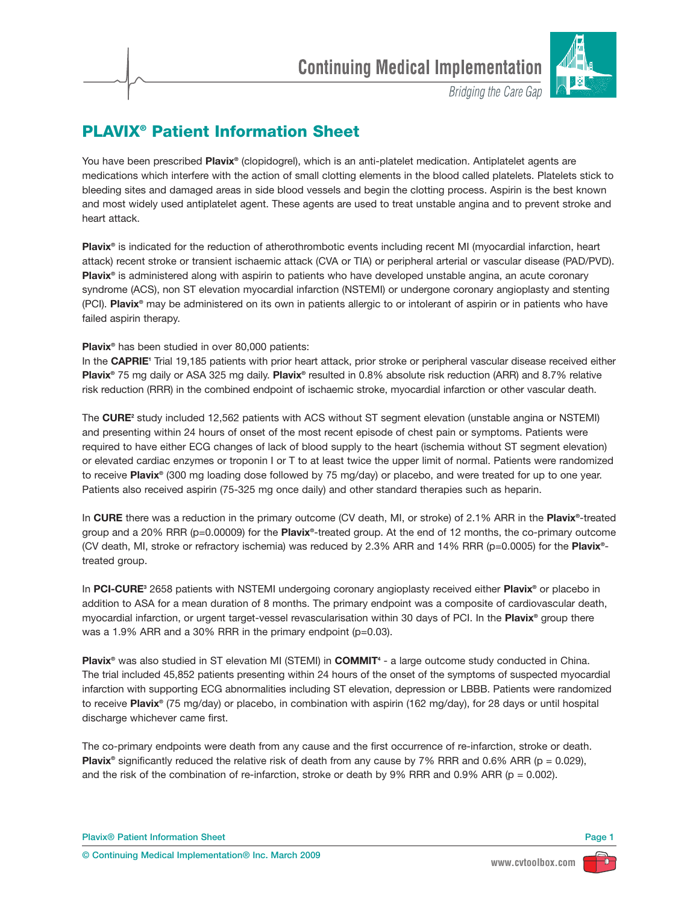

**Bridging the Care Gap** 

## **PLAVIX® Patient Information Sheet**

You have been prescribed **Plavix®** (clopidogrel), which is an anti-platelet medication. Antiplatelet agents are medications which interfere with the action of small clotting elements in the blood called platelets. Platelets stick to bleeding sites and damaged areas in side blood vessels and begin the clotting process. Aspirin is the best known and most widely used antiplatelet agent. These agents are used to treat unstable angina and to prevent stroke and heart attack.

**Plavix®** is indicated for the reduction of atherothrombotic events including recent MI (myocardial infarction, heart attack) recent stroke or transient ischaemic attack (CVA or TIA) or peripheral arterial or vascular disease (PAD/PVD). **Plavix®** is administered along with aspirin to patients who have developed unstable angina, an acute coronary syndrome (ACS), non ST elevation myocardial infarction (NSTEMI) or undergone coronary angioplasty and stenting (PCI). **Plavix®** may be administered on its own in patients allergic to or intolerant of aspirin or in patients who have failed aspirin therapy.

## **Plavix®** has been studied in over 80,000 patients:

In the **CAPRIE1** Trial 19,185 patients with prior heart attack, prior stroke or peripheral vascular disease received either **Plavix®** 75 mg daily or ASA 325 mg daily. **Plavix®** resulted in 0.8% absolute risk reduction (ARR) and 8.7% relative risk reduction (RRR) in the combined endpoint of ischaemic stroke, myocardial infarction or other vascular death.

The **CURE2** study included 12,562 patients with ACS without ST segment elevation (unstable angina or NSTEMI) and presenting within 24 hours of onset of the most recent episode of chest pain or symptoms. Patients were required to have either ECG changes of lack of blood supply to the heart (ischemia without ST segment elevation) or elevated cardiac enzymes or troponin I or T to at least twice the upper limit of normal. Patients were randomized to receive **Plavix®** (300 mg loading dose followed by 75 mg/day) or placebo, and were treated for up to one year. Patients also received aspirin (75-325 mg once daily) and other standard therapies such as heparin.

In **CURE** there was a reduction in the primary outcome (CV death, MI, or stroke) of 2.1% ARR in the **Plavix®**-treated group and a 20% RRR (p=0.00009) for the **Plavix®**-treated group. At the end of 12 months, the co-primary outcome (CV death, MI, stroke or refractory ischemia) was reduced by 2.3% ARR and 14% RRR (p=0.0005) for the **Plavix®** treated group.

In **PCI-CURE3** 2658 patients with NSTEMI undergoing coronary angioplasty received either **Plavix®** or placebo in addition to ASA for a mean duration of 8 months. The primary endpoint was a composite of cardiovascular death, myocardial infarction, or urgent target-vessel revascularisation within 30 days of PCI. In the **Plavix®** group there was a 1.9% ARR and a 30% RRR in the primary endpoint (p=0.03).

**Plavix®** was also studied in ST elevation MI (STEMI) in **COMMIT**<sup>4</sup> - a large outcome study conducted in China. The trial included 45,852 patients presenting within 24 hours of the onset of the symptoms of suspected myocardial infarction with supporting ECG abnormalities including ST elevation, depression or LBBB. Patients were randomized to receive **Plavix®** (75 mg/day) or placebo, in combination with aspirin (162 mg/day), for 28 days or until hospital discharge whichever came first.

The co-primary endpoints were death from any cause and the first occurrence of re-infarction, stroke or death. **Plavix<sup>®</sup>** significantly reduced the relative risk of death from any cause by 7% RRR and 0.6% ARR (p = 0.029), and the risk of the combination of re-infarction, stroke or death by 9% RRR and 0.9% ARR ( $p = 0.002$ ).